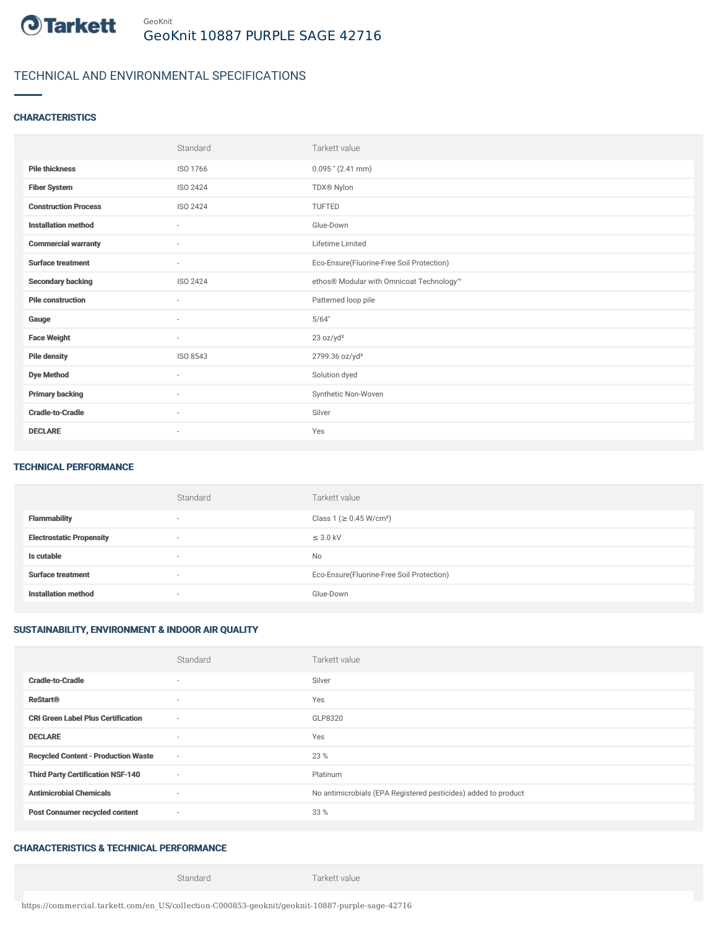

## TECHNICAL AND ENVIRONMENTAL SPECIFICATIONS

#### **CHARACTERISTICS**

|                             | Standard                 | Tarkett value                             |
|-----------------------------|--------------------------|-------------------------------------------|
| <b>Pile thickness</b>       | ISO 1766                 | $0.095$ " (2.41 mm)                       |
| <b>Fiber System</b>         | ISO 2424                 | TDX® Nylon                                |
| <b>Construction Process</b> | ISO 2424                 | <b>TUFTED</b>                             |
| <b>Installation method</b>  | $\sim$                   | Glue-Down                                 |
| <b>Commercial warranty</b>  | $\sim$                   | Lifetime Limited                          |
| <b>Surface treatment</b>    | $\overline{\phantom{a}}$ | Eco-Ensure(Fluorine-Free Soil Protection) |
| <b>Secondary backing</b>    | ISO 2424                 | ethos® Modular with Omnicoat Technology™  |
| <b>Pile construction</b>    | $\sim$                   | Patterned loop pile                       |
| Gauge                       | $\overline{\phantom{a}}$ | 5/64"                                     |
| <b>Face Weight</b>          | $\sim$                   | 23 oz/yd <sup>2</sup>                     |
| <b>Pile density</b>         | ISO 8543                 | 2799.36 oz/yd <sup>3</sup>                |
| <b>Dye Method</b>           | $\sim$                   | Solution dyed                             |
| <b>Primary backing</b>      | ×                        | Synthetic Non-Woven                       |
| <b>Cradle-to-Cradle</b>     | ٠                        | Silver                                    |
| <b>DECLARE</b>              | $\overline{\phantom{a}}$ | Yes                                       |

#### TECHNICAL PERFORMANCE

|                                 | Standard                 | Tarkett value                             |
|---------------------------------|--------------------------|-------------------------------------------|
| <b>Flammability</b>             |                          | Class 1 (≥ 0.45 W/cm <sup>2</sup> )       |
| <b>Electrostatic Propensity</b> | $\overline{\phantom{a}}$ | $\leq$ 3.0 kV                             |
| Is cutable                      | ۰                        | No                                        |
| <b>Surface treatment</b>        | $\overline{\phantom{a}}$ | Eco-Ensure(Fluorine-Free Soil Protection) |
| <b>Installation method</b>      |                          | Glue-Down                                 |

### SUSTAINABILITY, ENVIRONMENT & INDOOR AIR QUALITY

|                                            | Standard                 | Tarkett value                                                  |
|--------------------------------------------|--------------------------|----------------------------------------------------------------|
| <b>Cradle-to-Cradle</b>                    | ٠                        | Silver                                                         |
| <b>ReStart®</b>                            | $\sim$                   | Yes                                                            |
| <b>CRI Green Label Plus Certification</b>  | $\sim$                   | GLP8320                                                        |
| <b>DECLARE</b>                             | $\sim$                   | Yes                                                            |
| <b>Recycled Content - Production Waste</b> | $\sim$                   | 23 %                                                           |
| <b>Third Party Certification NSF-140</b>   | $\sim$                   | Platinum                                                       |
| <b>Antimicrobial Chemicals</b>             | $\overline{\phantom{a}}$ | No antimicrobials (EPA Registered pesticides) added to product |
| <b>Post Consumer recycled content</b>      | $\sim$                   | 33 %                                                           |

### CHARACTERISTICS & TECHNICAL PERFORMANCE

Standard Tarkett value